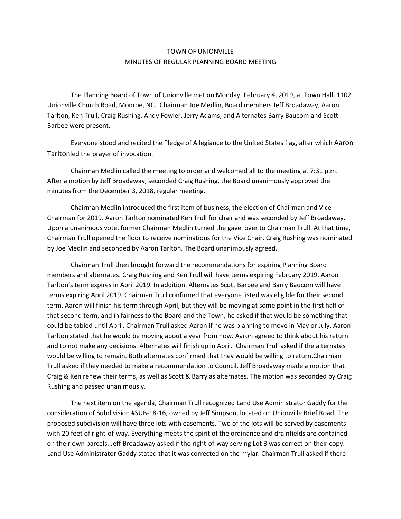## TOWN OF UNIONVILLE MINUTES OF REGULAR PLANNING BOARD MEETING

The Planning Board of Town of Unionville met on Monday, February 4, 2019, at Town Hall, 1102 Unionville Church Road, Monroe, NC. Chairman Joe Medlin, Board members Jeff Broadaway, Aaron Tarlton, Ken Trull, Craig Rushing, Andy Fowler, Jerry Adams, and Alternates Barry Baucom and Scott Barbee were present.

Everyone stood and recited the Pledge of Allegiance to the United States flag, after which Aaron Tarltonled the prayer of invocation.

Chairman Medlin called the meeting to order and welcomed all to the meeting at 7:31 p.m. After a motion by Jeff Broadaway, seconded Craig Rushing, the Board unanimously approved the minutes from the December 3, 2018, regular meeting.

Chairman Medlin introduced the first item of business, the election of Chairman and Vice-Chairman for 2019. Aaron Tarlton nominated Ken Trull for chair and was seconded by Jeff Broadaway. Upon a unanimous vote, former Chairman Medlin turned the gavel over to Chairman Trull. At that time, Chairman Trull opened the floor to receive nominations for the Vice Chair. Craig Rushing was nominated by Joe Medlin and seconded by Aaron Tarlton. The Board unanimously agreed.

Chairman Trull then brought forward the recommendations for expiring Planning Board members and alternates. Craig Rushing and Ken Trull will have terms expiring February 2019. Aaron Tarlton's term expires in April 2019. In addition, Alternates Scott Barbee and Barry Baucom will have terms expiring April 2019. Chairman Trull confirmed that everyone listed was eligible for their second term. Aaron will finish his term through April, but they will be moving at some point in the first half of that second term, and in fairness to the Board and the Town, he asked if that would be something that could be tabled until April. Chairman Trull asked Aaron if he was planning to move in May or July. Aaron Tarlton stated that he would be moving about a year from now. Aaron agreed to think about his return and to not make any decisions. Alternates will finish up in April. Chairman Trull asked if the alternates would be willing to remain. Both alternates confirmed that they would be willing to return.Chairman Trull asked if they needed to make a recommendation to Council. Jeff Broadaway made a motion that Craig & Ken renew their terms, as well as Scott & Barry as alternates. The motion was seconded by Craig Rushing and passed unanimously.

The next item on the agenda, Chairman Trull recognized Land Use Administrator Gaddy for the consideration of Subdivision #SUB-18-16, owned by Jeff Simpson, located on Unionville Brief Road. The proposed subdivision will have three lots with easements. Two of the lots will be served by easements with 20 feet of right-of-way. Everything meets the spirit of the ordinance and drainfields are contained on their own parcels. Jeff Broadaway asked if the right-of-way serving Lot 3 was correct on their copy. Land Use Administrator Gaddy stated that it was corrected on the mylar. Chairman Trull asked if there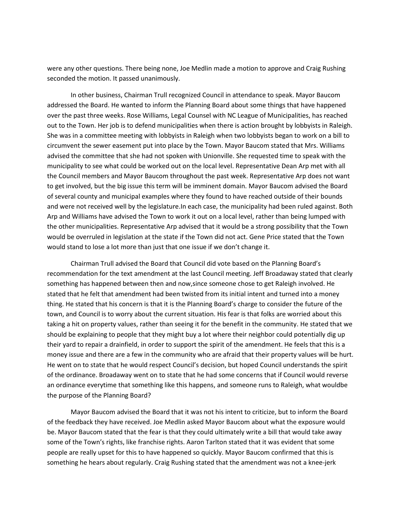were any other questions. There being none, Joe Medlin made a motion to approve and Craig Rushing seconded the motion. It passed unanimously.

In other business, Chairman Trull recognized Council in attendance to speak. Mayor Baucom addressed the Board. He wanted to inform the Planning Board about some things that have happened over the past three weeks. Rose Williams, Legal Counsel with NC League of Municipalities, has reached out to the Town. Her job is to defend municipalities when there is action brought by lobbyists in Raleigh. She was in a committee meeting with lobbyists in Raleigh when two lobbyists began to work on a bill to circumvent the sewer easement put into place by the Town. Mayor Baucom stated that Mrs. Williams advised the committee that she had not spoken with Unionville. She requested time to speak with the municipality to see what could be worked out on the local level. Representative Dean Arp met with all the Council members and Mayor Baucom throughout the past week. Representative Arp does not want to get involved, but the big issue this term will be imminent domain. Mayor Baucom advised the Board of several county and municipal examples where they found to have reached outside of their bounds and were not received well by the legislature.In each case, the municipality had been ruled against. Both Arp and Williams have advised the Town to work it out on a local level, rather than being lumped with the other municipalities. Representative Arp advised that it would be a strong possibility that the Town would be overruled in legislation at the state if the Town did not act. Gene Price stated that the Town would stand to lose a lot more than just that one issue if we don't change it.

Chairman Trull advised the Board that Council did vote based on the Planning Board's recommendation for the text amendment at the last Council meeting. Jeff Broadaway stated that clearly something has happened between then and now,since someone chose to get Raleigh involved. He stated that he felt that amendment had been twisted from its initial intent and turned into a money thing. He stated that his concern is that it is the Planning Board's charge to consider the future of the town, and Council is to worry about the current situation. His fear is that folks are worried about this taking a hit on property values, rather than seeing it for the benefit in the community. He stated that we should be explaining to people that they might buy a lot where their neighbor could potentially dig up their yard to repair a drainfield, in order to support the spirit of the amendment. He feels that this is a money issue and there are a few in the community who are afraid that their property values will be hurt. He went on to state that he would respect Council's decision, but hoped Council understands the spirit of the ordinance. Broadaway went on to state that he had some concerns that if Council would reverse an ordinance everytime that something like this happens, and someone runs to Raleigh, what wouldbe the purpose of the Planning Board?

Mayor Baucom advised the Board that it was not his intent to criticize, but to inform the Board of the feedback they have received. Joe Medlin asked Mayor Baucom about what the exposure would be. Mayor Baucom stated that the fear is that they could ultimately write a bill that would take away some of the Town's rights, like franchise rights. Aaron Tarlton stated that it was evident that some people are really upset for this to have happened so quickly. Mayor Baucom confirmed that this is something he hears about regularly. Craig Rushing stated that the amendment was not a knee-jerk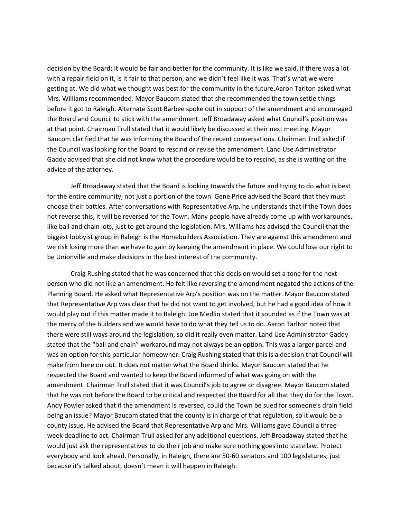decision by the Board; it would be fair and better for the community. It is like we said, if there was a lot with a repair field on it, is it fair to that person, and we didn't feel like it was. That's what we were getting at. We did what we thought was best for the community in the future.Aaron Tarlton asked what Mrs. Williams recommended. Mayor Baucom stated that she recommended the town settle things before it got to Raleigh. Alternate Scott Barbee spoke out in support of the amendment and encouraged the Board and Council to stick with the amendment. Jeff Broadaway asked what Council's position was at that point. Chairman Trull stated that it would likely be discussed at their next meeting. Mayor Baucom clarified that he was informing the Board of the recent conversations. Chairman Trull asked if the Council was looking for the Board to rescind or revise the amendment. Land Use Administrator Gaddy advised that she did not know what the procedure would be to rescind, as she is waiting on the advice of the attorney.

Jeff Broadaway stated that the Board is looking towards the future and trying to do what is best for the entire community, not just a portion of the town. Gene Price advised the Board that they must choose their battles. After conversations with Representative Arp, he understands that if the Town does not reverse this, it will be reversed for the Town. Many people have already come up with workarounds, like ball and chain lots, just to get around the legislation. Mrs. Williams has advised the Council that the biggest lobbyist group in Raleigh is the Homebuilders Association. They are against this amendment and we risk losing more than we have to gain by keeping the amendment in place. We could lose our right to be Unionville and make decisions in the best interest of the community.

Craig Rushing stated that he was concerned that this decision would set a tone for the next person who did not like an amendment. He felt like reversing the amendment negated the actions of the Planning Board. He asked what Representative Arp's position was on the matter. Mayor Baucom stated that Representative Arp was clear that he did not want to get involved, but he had a good idea of how it would play out if this matter made it to Raleigh. Joe Medlin stated that it sounded as if the Town was at the mercy of the builders and we would have to do what they tell us to do. Aaron Tarlton noted that there were still ways around the legislation, so did it really even matter. Land Use Administrator Gaddy stated that the "ball and chain" workaround may not always be an option. This was a larger parcel and was an option for this particular homeowner. Craig Rushing stated that this is a decision that Council will make from here on out. It does not matter what the Board thinks. Mayor Baucom stated that he respected the Board and wanted to keep the Board informed of what was going on with the amendment. Chairman Trull stated that it was Council's job to agree or disagree. Mayor Baucom stated that he was not before the Board to be critical and respected the Board for all that they do for the Town. Andy Fowler asked that if the amendment is reversed, could the Town be sued for someone's drain field being an issue? Mayor Baucom stated that the county is in charge of that regulation, so it would be a county issue. He advised the Board that Representative Arp and Mrs. Williams gave Council a threeweek deadline to act. Chairman Trull asked for any additional questions. Jeff Broadaway stated that he would just ask the representatives to do their job and make sure nothing goes into state law. Protect everybody and look ahead. Personally, in Raleigh, there are 50-60 senators and 100 legislatures; just because it's talked about, doesn't mean it will happen in Raleigh.